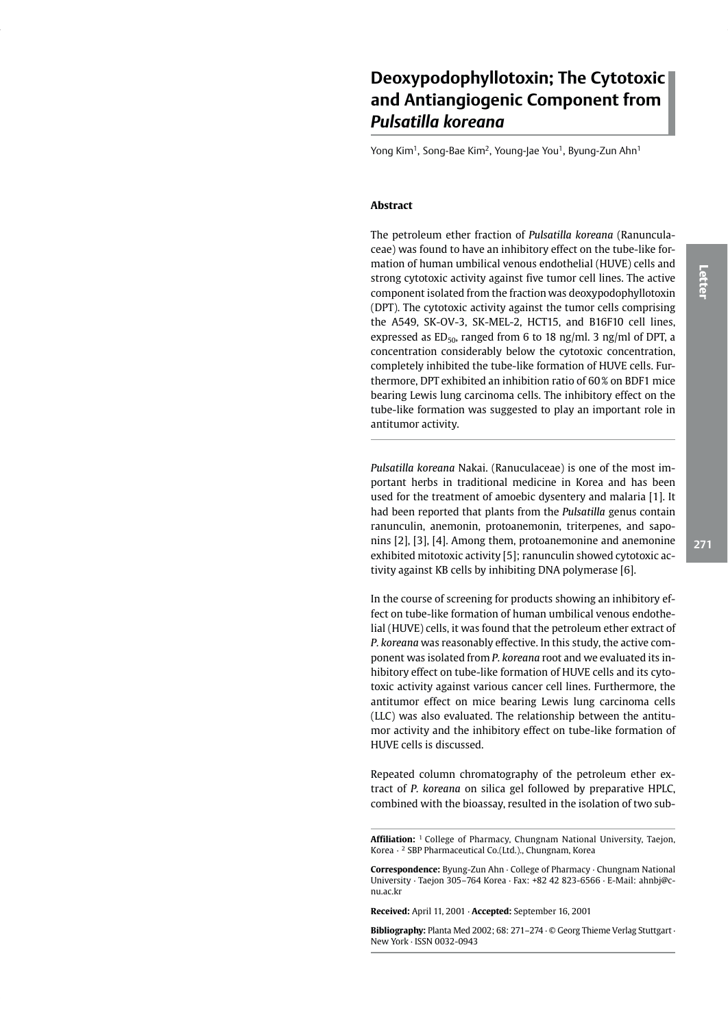# Deoxypodophyllotoxin; The Cytotoxic and Antiangiogenic Component from Pulsatilla koreana

Yong Kim<sup>1</sup>, Song-Bae Kim<sup>2</sup>, Young-Jae You<sup>1</sup>, Byung-Zun Ahn<sup>1</sup>

## **Abstract**

The petroleum ether fraction of Pulsatilla koreana (Ranunculaceae) was found to have an inhibitory effect on the tube-like formation of human umbilical venous endothelial (HUVE) cells and strong cytotoxic activity against five tumor cell lines. The active component isolated from the fraction was deoxypodophyllotoxin (DPT). The cytotoxic activity against the tumor cells comprising the A549, SK-OV-3, SK-MEL-2, HCT15, and B16F10 cell lines, expressed as  $ED_{50}$ , ranged from 6 to 18 ng/ml. 3 ng/ml of DPT, a concentration considerably below the cytotoxic concentration, completely inhibited the tube-like formation of HUVE cells. Furthermore, DPT exhibited an inhibition ratio of 60% on BDF1 mice bearing Lewis lung carcinoma cells. The inhibitory effect on the tube-like formation was suggested to play an important role in antitumor activity.

Pulsatilla koreana Nakai. (Ranuculaceae) is one of the most important herbs in traditional medicine in Korea and has been used for the treatment of amoebic dysentery and malaria [1]. It had been reported that plants from the Pulsatilla genus contain ranunculin, anemonin, protoanemonin, triterpenes, and saponins [2], [3], [4]. Among them, protoanemonine and anemonine exhibited mitotoxic activity [5]; ranunculin showed cytotoxic activity against KB cells by inhibiting DNA polymerase [6].

In the course of screening for products showing an inhibitory effect on tube-like formation of human umbilical venous endothelial (HUVE) cells, it was found that the petroleum ether extract of P. koreana was reasonably effective. In this study, the active component was isolated from P. koreana root and we evaluated its inhibitory effect on tube-like formation of HUVE cells and its cytotoxic activity against various cancer cell lines. Furthermore, the antitumor effect on mice bearing Lewis lung carcinoma cells (LLC) was also evaluated. The relationship between the antitumor activity and the inhibitory effect on tube-like formation of HUVE cells is discussed.

Repeated column chromatography of the petroleum ether extract of P. koreana on silica gel followed by preparative HPLC, combined with the bioassay, resulted in the isolation of two sub-

Affiliation: <sup>1</sup> College of Pharmacy, Chungnam National University, Taejon, Korea · <sup>2</sup> SBP Pharmaceutical Co.(Ltd.). Chungnam. Korea

Correspondence: Byung-Zun Ahn · College of Pharmacy · Chungnam National University · Taejon 305-764 Korea · Fax: +82 42 823-6566 · E-Mail: ahnbj@cnu ac kr

Received: April 11, 2001 · Accepted: September 16, 2001

Bibliography: Planta Med 2002; 68: 271-274 · © Georg Thieme Verlag Stuttgart · New York · ISSN 0032-0943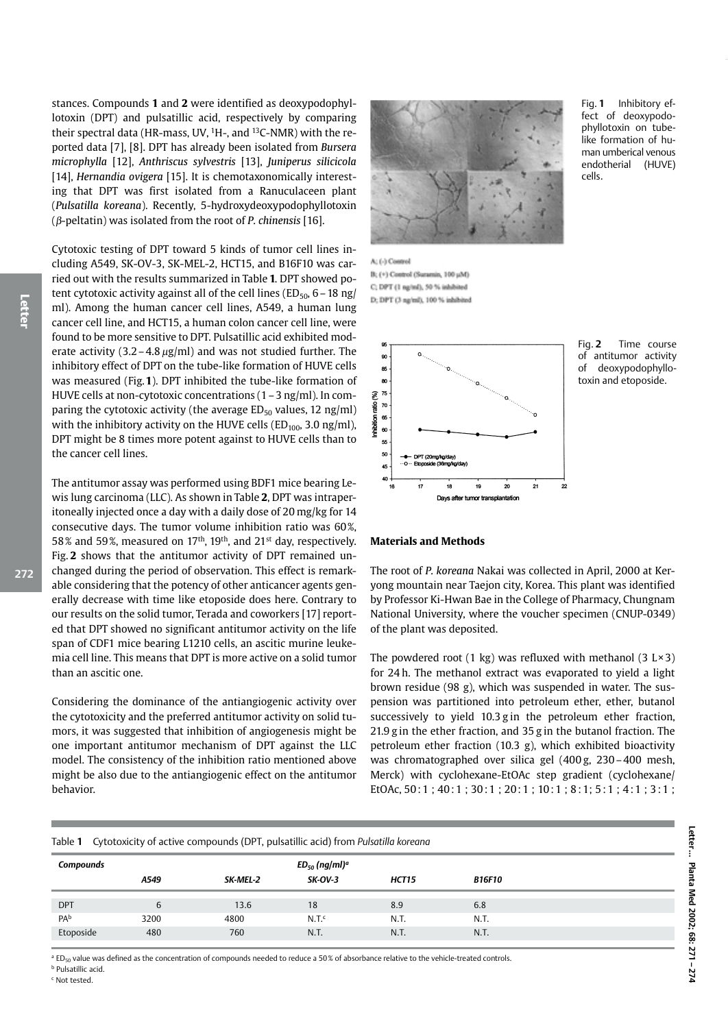272

stances. Compounds 1 and 2 were identified as deoxypodophyllotoxin (DPT) and pulsatillic acid, respectively by comparing their spectral data (HR-mass, UV, <sup>1</sup>H-, and <sup>13</sup>C-NMR) with the reported data [7], [8]. DPT has already been isolated from Bursera microphylla [12], Anthriscus sylvestris [13], Juniperus silicicola [14], Hernandia ovigera [15]. It is chemotaxonomically interesting that DPT was first isolated from a Ranuculaceen plant (Pulsatilla koreana). Recently, 5-hydroxydeoxypodophyllotoxin ( $\beta$ -peltatin) was isolated from the root of *P. chinensis* [16].

Cytotoxic testing of DPT toward 5 kinds of tumor cell lines including A549, SK-OV-3, SK-MEL-2, HCT15, and B16F10 was carried out with the results summarized in Table 1. DPT showed potent cytotoxic activity against all of the cell lines ( $ED_{50}$ , 6 - 18 ng/ ml). Among the human cancer cell lines, A549, a human lung cancer cell line, and HCT15, a human colon cancer cell line, were found to be more sensitive to DPT. Pulsatillic acid exhibited moderate activity  $(3.2 - 4.8 \mu g/ml)$  and was not studied further. The inhibitory effect of DPT on the tube-like formation of HUVE cells was measured (Fig.1). DPT inhibited the tube-like formation of HUVE cells at non-cytotoxic concentrations (1 - 3 ng/ml). In comparing the cytotoxic activity (the average  $ED_{50}$  values, 12 ng/ml) with the inhibitory activity on the HUVE cells ( $ED<sub>100</sub>$ , 3.0 ng/ml), DPT might be 8 times more potent against to HUVE cells than to the cancer cell lines.

The antitumor assay was performed using BDF1 mice bearing Lewis lung carcinoma (LLC). As shown in Table 2, DPT was intraperitoneally injected once a day with a daily dose of 20 mg/kg for 14 consecutive days. The tumor volume inhibition ratio was 60%, 58% and 59%, measured on 17<sup>th</sup>, 19<sup>th</sup>, and 21<sup>st</sup> day, respectively. Fig. 2 shows that the antitumor activity of DPT remained unchanged during the period of observation. This effect is remarkable considering that the potency of other anticancer agents generally decrease with time like etoposide does here. Contrary to our results on the solid tumor, Terada and coworkers [17] reported that DPT showed no significant antitumor activity on the life span of CDF1 mice bearing L1210 cells, an ascitic murine leukemia cell line. This means that DPT is more active on a solid tumor than an ascitic one.

Considering the dominance of the antiangiogenic activity over the cytotoxicity and the preferred antitumor activity on solid tumors, it was suggested that inhibition of angiogenesis might be one important antitumor mechanism of DPT against the LLC model. The consistency of the inhibition ratio mentioned above might be also due to the antiangiogenic effect on the antitumor behavior.



Fig. 1 Inhibitory effect of deoxypodophyllotoxin on tubelike formation of human umberical venous endotherial (HUVE) cells.

A: (-) Control B; (+) Control (Suramin, 100 µM) C; DPT (1 ng/ml), 50 % inhib. D: DPT (3 na/ml), 100 % inhibited



Time course Fig.  $2$ of antitumor activity deoxypodophylloof toxin and etoposide.

#### **Materials and Methods**

The root of P. koreana Nakai was collected in April, 2000 at Keryong mountain near Taejon city, Korea. This plant was identified by Professor Ki-Hwan Bae in the College of Pharmacy, Chungnam National University, where the voucher specimen (CNUP-0349) of the plant was deposited.

The powdered root (1 kg) was refluxed with methanol (3  $L \times 3$ ) for 24 h. The methanol extract was evaporated to yield a light brown residue (98 g), which was suspended in water. The suspension was partitioned into petroleum ether, ether, butanol successively to yield 10.3 g in the petroleum ether fraction, 21.9 g in the ether fraction, and 35 g in the butanol fraction. The petroleum ether fraction (10.3 g), which exhibited bioactivity was chromatographed over silica gel (400 g, 230 – 400 mesh, Merck) with cyclohexane-EtOAc step gradient (cyclohexane/ EtOAc, 50:1; 40:1; 30:1; 20:1; 10:1; 8:1; 5:1; 4:1; 3:1;

### Table 1 Cytotoxicity of active compounds (DPT, pulsatillic acid) from Pulsatilla koreana

| <b>Compounds</b> |      |          | $ED_{50}$ (ng/ml) <sup>a</sup> |       |               |  |
|------------------|------|----------|--------------------------------|-------|---------------|--|
|                  | A549 | SK-MEL-2 | $SK-OV-3$                      | HCT15 | <b>B16F10</b> |  |
| <b>DPT</b>       | 6    | 13.6     | 18                             | 8.9   | 6.8           |  |
| PA <sub>b</sub>  | 3200 | 4800     | N.T <sup>c</sup>               | N.T.  | N.T.          |  |
| Etoposide        | 480  | 760      | N.T.                           | N.T.  | N.T.          |  |

<sup>a</sup> ED<sub>50</sub> value was defined as the concentration of compounds needed to reduce a 50% of absorbance relative to the vehicle-treated controls.

<sup>b</sup> Pulsatillic acid <sup>c</sup> Not tested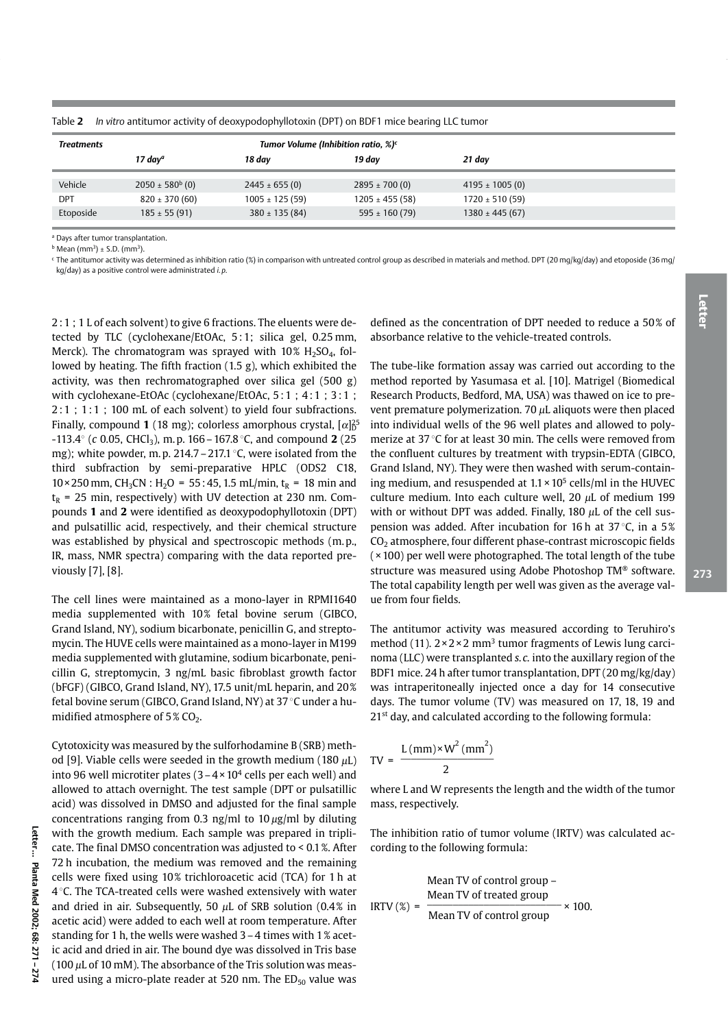| <b>Treatments</b> | Tumor Volume (Inhibition ratio, %) <sup>c</sup> |                    |                    |                     |  |  |  |  |
|-------------------|-------------------------------------------------|--------------------|--------------------|---------------------|--|--|--|--|
|                   | 17 day <sup>a</sup>                             | 18 day             | 19 dav             | 21 day              |  |  |  |  |
| Vehicle           | $2050 \pm 580^b$ (0)                            | $2445 \pm 655(0)$  | $2895 \pm 700(0)$  | 4195 $\pm$ 1005 (0) |  |  |  |  |
| <b>DPT</b>        | $820 \pm 370(60)$                               | $1005 \pm 125(59)$ | $1205 \pm 455(58)$ | $1720 \pm 510(59)$  |  |  |  |  |
| Etoposide         | $185 \pm 55(91)$                                | $380 \pm 135(84)$  | 595 $\pm$ 160 (79) | $1380 \pm 445(67)$  |  |  |  |  |

Table 2 In vitro antitumor activity of deoxypodophyllotoxin (DPT) on BDF1 mice bearing LLC tumor

<sup>a</sup> Days after tumor transplantation.

 $<sup>b</sup>$  Mean (mm<sup>3</sup>) ± S.D. (mm<sup>3</sup>).</sup>

<sup>c</sup> The antitumor activity was determined as inhibition ratio (%) in comparison with untreated control group as described in materials and method. DPT (20 mg/kg/day) and etoposide (36 mg/ kg/day) as a positive control were administrated i.p.

2:1; 1 L of each solvent) to give 6 fractions. The eluents were detected by TLC (cyclohexane/EtOAc, 5:1; silica gel, 0.25 mm, Merck). The chromatogram was sprayed with  $10\%$  H<sub>2</sub>SO<sub>4</sub>, followed by heating. The fifth fraction (1.5 g), which exhibited the activity, was then rechromatographed over silica gel (500 g) with cyclohexane-EtOAc (cyclohexane/EtOAc, 5:1; 4:1; 3:1;  $2:1$ ; 1:1; 100 mL of each solvent) to yield four subfractions. Finally, compound 1 (18 mg); colorless amorphous crystal,  $\alpha$ <sup>25</sup> -113.4° (c 0.05, CHCl<sub>3</sub>), m.p. 166 – 167.8 °C, and compound 2 (25) mg); white powder, m.p.  $214.7 - 217.1$  °C, were isolated from the third subfraction by semi-preparative HPLC (ODS2 C18,  $10 \times 250$  mm, CH<sub>3</sub>CN : H<sub>2</sub>O = 55:45, 1.5 mL/min, t<sub>R</sub> = 18 min and  $t_R$  = 25 min, respectively) with UV detection at 230 nm. Compounds 1 and 2 were identified as deoxypodophyllotoxin (DPT) and pulsatillic acid, respectively, and their chemical structure was established by physical and spectroscopic methods (m.p., IR, mass, NMR spectra) comparing with the data reported previously [7], [8].

The cell lines were maintained as a mono-laver in RPMI1640 media supplemented with 10% fetal bovine serum (GIBCO, Grand Island, NY), sodium bicarbonate, penicillin G, and streptomycin. The HUVE cells were maintained as a mono-layer in M199 media supplemented with glutamine, sodium bicarbonate, penicillin G, streptomycin, 3 ng/mL basic fibroblast growth factor (bFGF) (GIBCO, Grand Island, NY), 17.5 unit/mL heparin, and 20% fetal bovine serum (GIBCO, Grand Island, NY) at 37 °C under a humidified atmosphere of 5% CO<sub>2</sub>.

Cytotoxicity was measured by the sulforhodamine B (SRB) method [9]. Viable cells were seeded in the growth medium (180  $\mu$ L) into 96 well microtiter plates  $(3-4 \times 10^4$  cells per each well) and allowed to attach overnight. The test sample (DPT or pulsatillic acid) was dissolved in DMSO and adjusted for the final sample concentrations ranging from 0.3 ng/ml to 10  $\mu$ g/ml by diluting with the growth medium. Each sample was prepared in triplicate. The final DMSO concentration was adjusted to < 0.1 %. After 72 h incubation, the medium was removed and the remaining cells were fixed using 10% trichloroacetic acid (TCA) for 1 h at 4 °C. The TCA-treated cells were washed extensively with water and dried in air. Subsequently, 50  $\mu$ L of SRB solution (0.4% in acetic acid) were added to each well at room temperature. After standing for 1 h, the wells were washed 3 - 4 times with 1% acetic acid and dried in air. The bound dye was dissolved in Tris base (100  $\mu$ L of 10 mM). The absorbance of the Tris solution was measured using a micro-plate reader at 520 nm. The  $ED_{50}$  value was

defined as the concentration of DPT needed to reduce a 50% of absorbance relative to the vehicle-treated controls.

The tube-like formation assay was carried out according to the method reported by Yasumasa et al. [10]. Matrigel (Biomedical Research Products, Bedford, MA, USA) was thawed on ice to prevent premature polymerization. 70  $\mu$ L aliquots were then placed into individual wells of the 96 well plates and allowed to polymerize at 37 °C for at least 30 min. The cells were removed from the confluent cultures by treatment with trypsin-EDTA (GIBCO, Grand Island, NY). They were then washed with serum-containing medium, and resuspended at  $1.1 \times 10^5$  cells/ml in the HUVEC culture medium. Into each culture well, 20  $\mu$ L of medium 199 with or without DPT was added. Finally, 180  $\mu$ L of the cell suspension was added. After incubation for 16 h at 37 °C, in a 5% CO<sub>2</sub> atmosphere, four different phase-contrast microscopic fields  $(x 100)$  per well were photographed. The total length of the tube structure was measured using Adobe Photoshop TM® software. The total capability length per well was given as the average value from four fields.

The antitumor activity was measured according to Teruhiro's method (11).  $2 \times 2 \times 2$  mm<sup>3</sup> tumor fragments of Lewis lung carcinoma (LLC) were transplanted s.c. into the auxillary region of the BDF1 mice. 24 h after tumor transplantation, DPT (20 mg/kg/day) was intraperitoneally injected once a day for 14 consecutive days. The tumor volume (TV) was measured on 17, 18, 19 and 21<sup>st</sup> day, and calculated according to the following formula:

$$
TV = \frac{L \, (mm) \times W^2 \, (mm^2)}{2}
$$

where L and W represents the length and the width of the tumor mass, respectively.

The inhibition ratio of tumor volume (IRTV) was calculated according to the following formula:

Mean TV of control group –  
 
$$
1RTV
$$
 % =  $\frac{1}{2}M\left(\frac{1}{2}\right) = \frac{1}{2}M\left(\frac{1}{2}\right)$ 

Letter